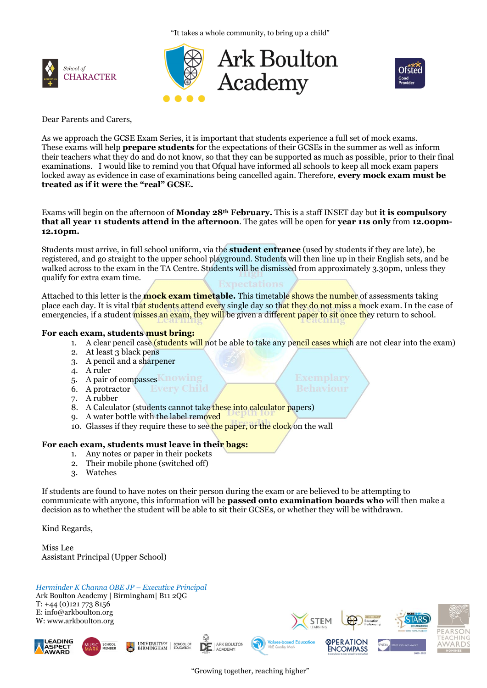"It takes a whole community, to bring up a child"







Dear Parents and Carers,

As we approach the GCSE Exam Series, it is important that students experience a full set of mock exams. These exams will help **prepare students** for the expectations of their GCSEs in the summer as well as inform their teachers what they do and do not know, so that they can be supported as much as possible, prior to their final examinations. I would like to remind you that Ofqual have informed all schools to keep all mock exam papers locked away as evidence in case of examinations being cancelled again. Therefore, **every mock exam must be treated as if it were the "real" GCSE.**

Exams will begin on the afternoon of **Monday 28th February.** This is a staff INSET day but **it is compulsory that all year 11 students attend in the afternoon**. The gates will be open for **year 11s only** from **12.00pm-12.10pm.**

Students must arrive, in full school uniform, via the **student entrance** (used by students if they are late), be registered, and go straight to the upper school playground. Students will then line up in their English sets, and be walked across to the exam in the TA Centre. Students will be dismissed from approximately 3.30pm, unless they qualify for extra exam time.

Attached to this letter is the **mock exam timetable.** This timetable shows the number of assessments taking place each day. It is vital that students attend every single day so that they do not miss a mock exam. In the case of emergencies, if a student misses an exam, they will be given a different paper to sit once they return to school.

## **For each exam, students must bring:**

- 1. A clear pencil case (students will not be able to take any pencil cases which are not clear into the exam)
- 2. At least 3 black pens
- 3. A pencil and a sharpener
- 4. A ruler
- 
- 5. A pair of compasses **CHOWING**<br>6. A protractor **EVETY** Child 6. A protractor
- 7. A rubber
- 8. A Calculator (students cannot take these into calculator papers)
- 9. A water bottle with the label removed
- 10. Glasses if they require these to see the paper, or the clock on the wall

## **For each exam, students must leave in their bags:**

- 1. Any notes or paper in their pockets
- 2. Their mobile phone (switched off)
- 3. Watches

If students are found to have notes on their person during the exam or are believed to be attempting to communicate with anyone, this information will be **passed onto examination boards who** will then make a decision as to whether the student will be able to sit their GCSEs, or whether they will be withdrawn.

Kind Regards,

**EADING** 

ASPEC1<br>AWARD

Miss Lee Assistant Principal (Upper School)

*Herminder K Channa OBE JP – Executive Principal*

UNIVERSITY<sup>OF</sup> SCHOOL OF<br>BIRMINGHAM EDUCATION

Ark Boulton Academy | Birmingham| B11 2QG T: +44 (0)121 773 8156 E: info@arkboulton.org W: www.arkboulton.org





ARK BOULTON<br>ACADEMY

DE

STEM